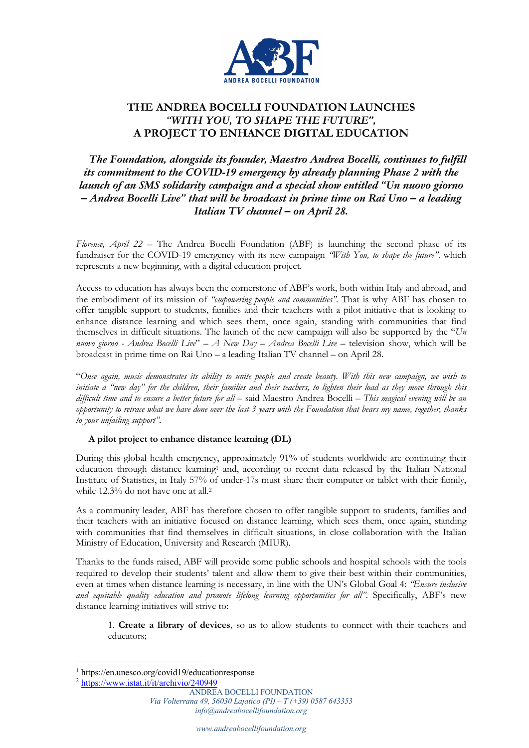

# **THE ANDREA BOCELLI FOUNDATION LAUNCHES** *"WITH YOU, TO SHAPE THE FUTURE",* **A PROJECT TO ENHANCE DIGITAL EDUCATION**

*The Foundation, alongside its founder, Maestro Andrea Bocelli, continues to fulfill its commitment to the COVID-19 emergency by already planning Phase 2 with the launch of an SMS solidarity campaign and a special show entitled "Un nuovo giorno – Andrea Bocelli Live" that will be broadcast in prime time on Rai Uno – a leading Italian TV channel – on April 28.*

*Florence, April 22* – The Andrea Bocelli Foundation (ABF) is launching the second phase of its fundraiser for the COVID-19 emergency with its new campaign *"With You, to shape the future",* which represents a new beginning, with a digital education project.

Access to education has always been the cornerstone of ABF's work, both within Italy and abroad, and the embodiment of its mission of *"empowering people and communities".* That is why ABF has chosen to offer tangible support to students, families and their teachers with a pilot initiative that is looking to enhance distance learning and which sees them, once again, standing with communities that find themselves in difficult situations. The launch of the new campaign will also be supported by the "*Un nuovo giorno - Andrea Bocelli Live*" – *A New Day – Andrea Bocelli Live* – television show, which will be broadcast in prime time on Rai Uno – a leading Italian TV channel – on April 28.

"*Once again, music demonstrates its ability to unite people and create beauty. With this new campaign, we wish to initiate a "new day" for the children, their families and their teachers, to lighten their load as they move through this difficult time and to ensure a better future for all* – said Maestro Andrea Bocelli – *This magical evening will be an opportunity to retrace what we have done over the last 3 years with the Foundation that bears my name, together, thanks to your unfailing support".* 

# **A pilot project to enhance distance learning (DL)**

During this global health emergency, approximately 91% of students worldwide are continuing their education through distance learning<sup>1</sup> and, according to recent data released by the Italian National Institute of Statistics, in Italy 57% of under-17s must share their computer or tablet with their family, while 12.3% do not have one at all.2

As a community leader, ABF has therefore chosen to offer tangible support to students, families and their teachers with an initiative focused on distance learning, which sees them, once again, standing with communities that find themselves in difficult situations, in close collaboration with the Italian Ministry of Education, University and Research (MIUR).

Thanks to the funds raised, ABF will provide some public schools and hospital schools with the tools required to develop their students' talent and allow them to give their best within their communities, even at times when distance learning is necessary, in line with the UN's Global Goal 4: *"Ensure inclusive and equitable quality education and promote lifelong learning opportunities for all"*. Specifically, ABF's new distance learning initiatives will strive to:

1. **Create a library of devices**, so as to allow students to connect with their teachers and educators;

<sup>1</sup> https://en.unesco.org/covid19/educationresponse

<sup>2</sup> https://www.istat.it/it/archivio/240949

ANDREA BOCELLI FOUNDATION *Via Volterrana 49, 56030 Lajatico (PI) – T (+39) 0587 643353 info@andreabocellifoundation.org*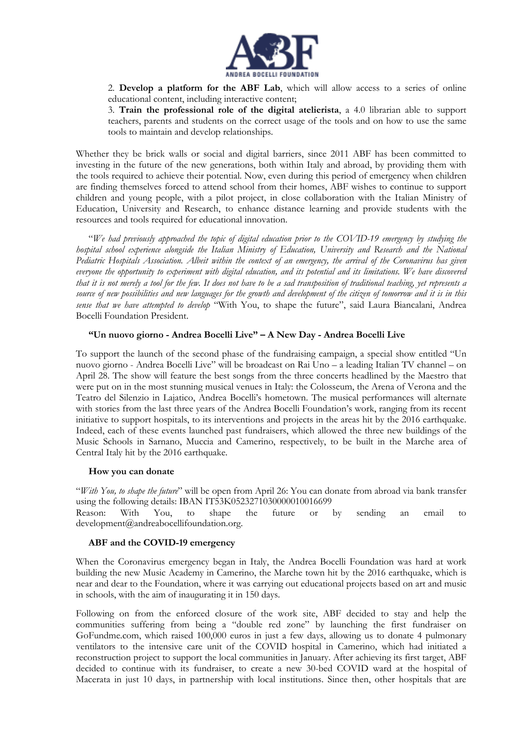

2. **Develop a platform for the ABF Lab**, which will allow access to a series of online educational content, including interactive content;

3. **Train the professional role of the digital atelierista**, a 4.0 librarian able to support teachers, parents and students on the correct usage of the tools and on how to use the same tools to maintain and develop relationships.

Whether they be brick walls or social and digital barriers, since 2011 ABF has been committed to investing in the future of the new generations, both within Italy and abroad, by providing them with the tools required to achieve their potential. Now, even during this period of emergency when children are finding themselves forced to attend school from their homes, ABF wishes to continue to support children and young people, with a pilot project, in close collaboration with the Italian Ministry of Education, University and Research, to enhance distance learning and provide students with the resources and tools required for educational innovation.

"*We had previously approached the topic of digital education prior to the COVID-19 emergency by studying the hospital school experience alongside the Italian Ministry of Education, University and Research and the National Pediatric Hospitals Association. Albeit within the context of an emergency, the arrival of the Coronavirus has given everyone the opportunity to experiment with digital education, and its potential and its limitations. We have discovered that it is not merely a tool for the few. It does not have to be a sad transposition of traditional teaching, yet represents a source of new possibilities and new languages for the growth and development of the citizen of tomorrow and it is in this sense that we have attempted to develop* "With You, to shape the future", said Laura Biancalani, Andrea Bocelli Foundation President.

# **"Un nuovo giorno - Andrea Bocelli Live" – A New Day - Andrea Bocelli Live**

To support the launch of the second phase of the fundraising campaign, a special show entitled "Un nuovo giorno - Andrea Bocelli Live" will be broadcast on Rai Uno – a leading Italian TV channel – on April 28. The show will feature the best songs from the three concerts headlined by the Maestro that were put on in the most stunning musical venues in Italy: the Colosseum, the Arena of Verona and the Teatro del Silenzio in Lajatico, Andrea Bocelli's hometown. The musical performances will alternate with stories from the last three years of the Andrea Bocelli Foundation's work, ranging from its recent initiative to support hospitals, to its interventions and projects in the areas hit by the 2016 earthquake. Indeed, each of these events launched past fundraisers, which allowed the three new buildings of the Music Schools in Sarnano, Muccia and Camerino, respectively, to be built in the Marche area of Central Italy hit by the 2016 earthquake.

#### **How you can donate**

"*With You, to shape the future*" will be open from April 26: You can donate from abroad via bank transfer using the following details: IBAN IT53K0523271030000010016699<br>Reason: With You, to shape the future or

Reason: With You, to shape the future or by sending an email to development@andreabocellifoundation.org.

#### **ABF and the COVID-19 emergency**

When the Coronavirus emergency began in Italy, the Andrea Bocelli Foundation was hard at work building the new Music Academy in Camerino, the Marche town hit by the 2016 earthquake, which is near and dear to the Foundation, where it was carrying out educational projects based on art and music in schools, with the aim of inaugurating it in 150 days.

Following on from the enforced closure of the work site, ABF decided to stay and help the communities suffering from being a "double red zone" by launching the first fundraiser on GoFundme.com, which raised 100,000 euros in just a few days, allowing us to donate 4 pulmonary ventilators to the intensive care unit of the COVID hospital in Camerino, which had initiated a reconstruction project to support the local communities in January. After achieving its first target, ABF decided to continue with its fundraiser, to create a new 30-bed COVID ward at the hospital of Macerata in just 10 days, in partnership with local institutions. Since then, other hospitals that are